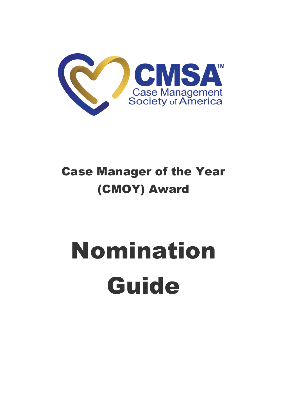

# Case Manager of the Year (CMOY) Award

# Nomination Guide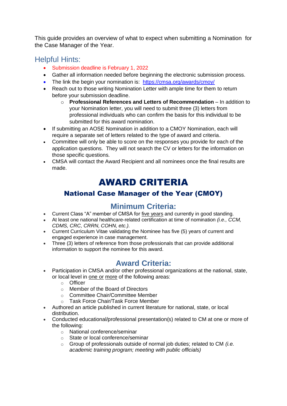This guide provides an overview of what to expect when submitting a Nomination for the Case Manager of the Year.

#### Helpful Hints:

- Submission deadline is February 1, 2022
- Gather all information needed before beginning the electronic submission process.
- The link the begin your nomination is:<https://cmsa.org/awards/cmoy/>
- Reach out to those writing Nomination Letter with ample time for them to return before your submission deadline.
	- o **Professional References and Letters of Recommendation** In addition to your Nomination letter, you will need to submit three (3) letters from professional individuals who can confirm the basis for this individual to be submitted for this award nomination.
- If submitting an AOSE Nomination in addition to a CMOY Nomination, each will require a separate set of letters related to the type of award and criteria.
- Committee will only be able to score on the responses you provide for each of the application questions. They will not search the CV or letters for the information on those specific questions.
- CMSA will contact the Award Recipient and all nominees once the final results are made.

# AWARD CRITERIA

#### National Case Manager of the Year (CMOY)

#### **Minimum Criteria:**

- Current Class "A" member of CMSA for five years and currently in good standing.
- At least one national healthcare-related certification at time of nomination *(i.e., CCM, CDMS, CRC, CRRN, COHN, etc.).*
- Current Curriculum Vitae validating the Nominee has five (5) years of current and engaged experience in case management.
- Three (3) letters of reference from those professionals that can provide additional information to support the nominee for this award.

#### **Award Criteria:**

- Participation in CMSA and/or other professional organizations at the national, state, or local level in one or more of the following areas:
	- o Officer
	- o Member of the Board of Directors
	- o Committee Chair/Committee Member
	- o Task Force Chair/Task Force Member
- Authored an article published in current literature for national, state, or local distribution.
- Conducted educational/professional presentation(s) related to CM at one or more of the following:
	- o National conference/seminar
	- o State or local conference/seminar
	- o Group of professionals outside of normal job duties; related to CM *(i.e. academic training program; meeting with public officials)*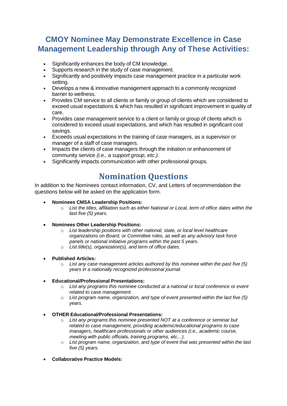### **CMOY Nominee May Demonstrate Excellence in Case Management Leadership through Any of These Activities:**

- Significantly enhances the body of CM knowledge.
- Supports research in the study of case management.
- Significantly and positively impacts case management practice in a particular work setting.
- Develops a new & innovative management approach to a commonly recognized barrier to wellness.
- Provides CM service to all clients or family or group of clients which are considered to exceed usual expectations & which has resulted in significant improvement in quality of care.
- Provides case management service to a client or family or group of clients which is considered to exceed usual expectations, and which has resulted in significant cost savings.
- Exceeds usual expectations in the training of case managers, as a supervisor or manager of a staff of case managers.
- Impacts the clients of case managers through the initiation or enhancement of community service *(i.e., a support group, etc.).*
- Significantly impacts communication with other professional groups.

## **Nomination Questions**

In addition to the Nominees contact information, CV, and Letters of recommendation the questions below will be asked on the application form.

- **Nominees CMSA Leadership Positions:**
	- o *List the titles, affiliation such as either National or Local, term of office dates within the last five (5) years.*
- **Nominees Other Leadership Positions:**
	- o *List leadership positions with other national, state, or local level healthcare organizations on Board, or Committee roles, as well as any advisory task force panels or national initiative programs within the past 5 years.*
	- o *List title(s), organization(s), and term of office dates.*
- **Published Articles:**
	- o *List any case management articles authored by this nominee within the past five (5) years in a nationally recognized professional journal.*
- **Educational/Professional Presentations:**
	- o *List any programs this nominee conducted at a national or local conference or event related to case management.*
	- o *List program name, organization, and type of event presented within the last five (5) years.*
- **OTHER Educational/Professional Presentations:**
	- o *List any programs this nominee presented NOT at a conference or seminar but related to case management, providing academic/educational programs to case managers, healthcare professionals or other audiences (i.e., academic course, meeting with public officials, training programs, etc…).*
	- o *List program name, organization, and type of event that was presented within the last five (5) years.*
- **Collaborative Practice Models:**